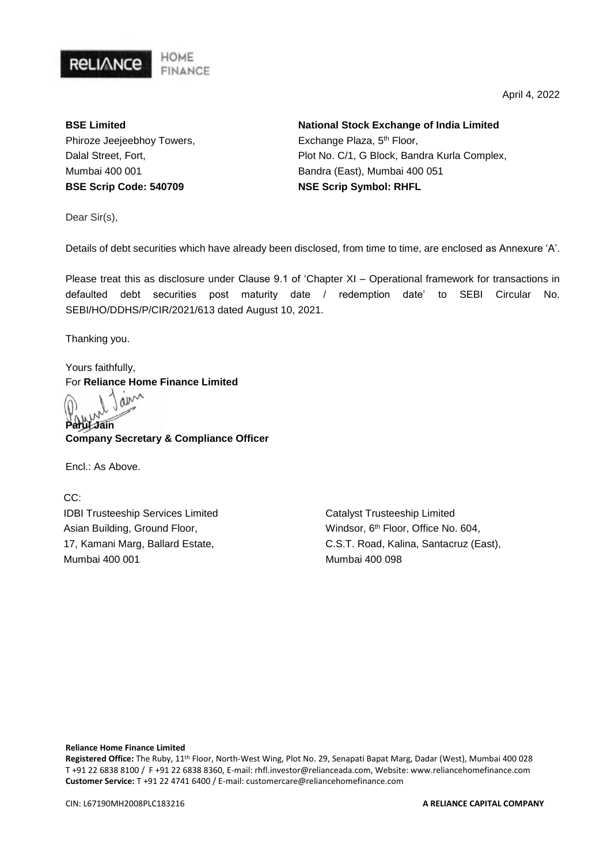

April 4, 2022

**BSE Limited** Phiroze Jeejeebhoy Towers, Dalal Street, Fort, Mumbai 400 001 **BSE Scrip Code: 540709**

**National Stock Exchange of India Limited** Exchange Plaza, 5th Floor, Plot No. C/1, G Block, Bandra Kurla Complex, Bandra (East), Mumbai 400 051 **NSE Scrip Symbol: RHFL**

Dear Sir(s),

Details of debt securities which have already been disclosed, from time to time, are enclosed as Annexure 'A'.

Please treat this as disclosure under Clause 9.1 of 'Chapter XI – Operational framework for transactions in defaulted debt securities post maturity date / redemption date' to SEBI Circular No. SEBI/HO/DDHS/P/CIR/2021/613 dated August 10, 2021.

Thanking you.

Yours faithfully, For **Reliance Home Finance Limited**

ain **Parul Jain**

**Company Secretary & Compliance Officer** 

Encl.: As Above.

CC: IDBI Trusteeship Services Limited Asian Building, Ground Floor, 17, Kamani Marg, Ballard Estate, Mumbai 400 001

Catalyst Trusteeship Limited Windsor, 6<sup>th</sup> Floor, Office No. 604, C.S.T. Road, Kalina, Santacruz (East), Mumbai 400 098

**Reliance Home Finance Limited**

**Registered Office:** The Ruby, 11th Floor, North-West Wing, Plot No. 29, Senapati Bapat Marg, Dadar (West), Mumbai 400 028 T +91 22 6838 8100 / F +91 22 6838 8360, E-mail: rhfl.investor@relianceada.com, Website: www.reliancehomefinance.com **Customer Service:** T +91 22 4741 6400 / E-mail: customercare@reliancehomefinance.com